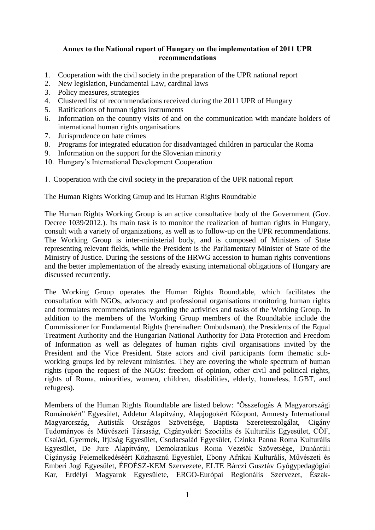### **Annex to the National report of Hungary on the implementation of 2011 UPR recommendations**

- 1. Cooperation with the civil society in the preparation of the UPR national report
- 2. New legislation, Fundamental Law, cardinal laws
- 3. Policy measures, strategies
- 4. Clustered list of recommendations received during the 2011 UPR of Hungary
- 5. Ratifications of human rights instruments
- 6. Information on the country visits of and on the communication with mandate holders of international human rights organisations
- 7. Jurisprudence on hate crimes
- 8. Programs for integrated education for disadvantaged children in particular the Roma
- 9. Information on the support for the Slovenian minority
- 10. Hungary's International Development Cooperation

### 1. Cooperation with the civil society in the preparation of the UPR national report

The Human Rights Working Group and its Human Rights Roundtable

The Human Rights Working Group is an active consultative body of the Government (Gov. Decree 1039/2012.). Its main task is to monitor the realization of human rights in Hungary, consult with a variety of organizations, as well as to follow-up on the UPR recommendations. The Working Group is inter-ministerial body, and is composed of Ministers of State representing relevant fields, while the President is the Parliamentary Minister of State of the Ministry of Justice. During the sessions of the HRWG accession to human rights conventions and the better implementation of the already existing international obligations of Hungary are discussed recurrently.

The Working Group operates the Human Rights Roundtable, which facilitates the consultation with NGOs, advocacy and professional organisations monitoring human rights and formulates recommendations regarding the activities and tasks of the Working Group. In addition to the members of the Working Group members of the Roundtable include the Commissioner for Fundamental Rights (hereinafter: Ombudsman), the Presidents of the Equal Treatment Authority and the Hungarian National Authority for Data Protection and Freedom of Information as well as delegates of human rights civil organisations invited by the President and the Vice President. State actors and civil participants form thematic subworking groups led by relevant ministries. They are covering the whole spectrum of human rights (upon the request of the NGOs: freedom of opinion, other civil and political rights, rights of Roma, minorities, women, children, disabilities, elderly, homeless, LGBT, and refugees).

Members of the Human Rights Roundtable are listed below: "Összefogás A Magyarországi Románokért" Egyesület, Addetur Alapítvány, Alapjogokért Központ, Amnesty International Magyarország, Autisták Országos Szövetsége, Baptista Szeretetszolgálat, Cigány Tudományos és Művészeti Társaság, Cigányokért Szociális és Kulturális Egyesület, CÖF, Család, Gyermek, Ifjúság Egyesület, Csodacsalád Egyesület, Czinka Panna Roma Kulturális Egyesület, De Jure Alapítvány, Demokratikus Roma Vezetők Szövetsége, Dunántúli Cigányság Felemelkedéséért Közhasznú Egyesület, Ebony Afrikai Kulturális, Művészeti és Emberi Jogi Egyesület, ÉFOÉSZ-KEM Szervezete, ELTE Bárczi Gusztáv Gyógypedagógiai Kar, Erdélyi Magyarok Egyesülete, ERGO-Európai Regionális Szervezet, Észak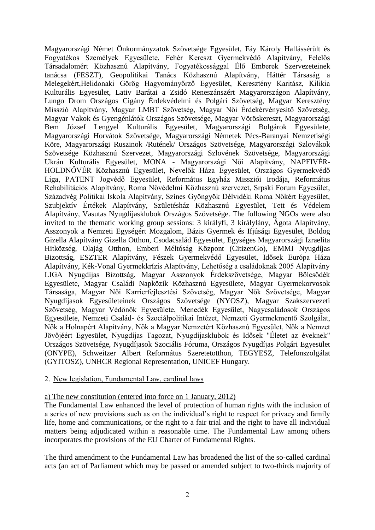Magyarországi Német Önkormányzatok Szövetsége Egyesület, Fáy Károly Hallássérült és Fogyatékos Személyek Egyesülete, Fehér Kereszt Gyermekvédő Alapítvány, Felelős Társadalomért Közhasznú Alapítvány, Fogyatékossággal Élő Emberek Szervezeteinek tanácsa (FESZT), Geopolitikai Tanács Közhasznú Alapítvány, Háttér Társaság a Melegekért,Helidonaki Görög Hagyományőrző Egyesület, Keresztény Karitász, Kilikia Kulturális Egyesület, Lativ Barátai a Zsidó Reneszánszért Magyarországon Alapítvány, Lungo Drom Országos Cigány Érdekvédelmi és Polgári Szövetség, Magyar Keresztény Misszió Alapítvány, Magyar LMBT Szövetség, Magyar Női Érdekérvényesítő Szövetség, Magyar Vakok és Gyengénlátók Országos Szövetsége, Magyar Vöröskereszt, Magyarországi Bem József Lengyel Kulturális Egyesület, Magyarországi Bolgárok Egyesülete, Magyarországi Horvátok Szövetsége, Magyarországi Németek Pécs-Baranyai Nemzetiségi Köre, Magyarországi Ruszinok /Rutének/ Országos Szövetsége, Magyarországi Szlovákok Szövetsége Közhasznú Szervezet, Magyarországi Szlovének Szövetsége, Magyarországi Ukrán Kulturális Egyesület, MONA - Magyarországi Női Alapítvány, NAPFIVÉR-HOLDNŐVÉR Közhasznú Egyesület, Nevelők Háza Egyesület, Országos Gyermekvédő Liga, PATENT Jogvédő Egyesület, Református Egyház Missziói Irodája, Református Rehabilitációs Alapítvány, Roma Nővédelmi Közhasznú szervezet, Srpski Forum Egyesület, Századvég Politikai Iskola Alapítvány, Színes Gyöngyök Délvidéki Roma Nőkért Egyesület, Szubjektív Értékek Alapítvány, Születésház Közhasznú Egyesület, Tett és Védelem Alapítvány, Vasutas Nyugdíjasklubok Országos Szövetsége. The following NGOs were also invited to the thematic working group sessions: 3 királyfi, 3 királylány, Ágota Alapítvány, Asszonyok a Nemzeti Egységért Mozgalom, Bázis Gyermek és Ifjúsági Egyesület, Boldog Gizella Alapítvány Gizella Otthon, Csodacsalád Egyesület, Egységes Magyarországi Izraelita Hitközség, Olajág Otthon, Emberi Méltóság Központ (CitizenGo), EMMI Nyugdíjas Bizottság, ESZTER Alapítvány, Fészek Gyermekvédő Egyesület, Idősek Európa Háza Alapítvány, Kék-Vonal Gyermekkrízis Alapítvány, Lehetőség a családoknak 2005 Alapítvány LIGA Nyugdíjas Bizottság, Magyar Asszonyok Érdekszövetsége, Magyar Bölcsődék Egyesülete, Magyar Családi Napközik Közhasznú Egyesülete, Magyar Gyermekorvosok Társasága, Magyar Női Karrierfejlesztési Szövetség, Magyar Nők Szövetsége, Magyar Nyugdíjasok Egyesületeinek Országos Szövetsége (NYOSZ), Magyar Szakszervezeti Szövetség, Magyar Védőnők Egyesülete, Menedék Egyesület, Nagycsaládosok Országos Egyesülete, Nemzeti Család- és Szociálpolitikai Intézet, Nemzeti Gyermekmentő Szolgálat, Nők a Holnapért Alapítvány, Nők a Magyar Nemzetért Közhasznú Egyesület, Nők a Nemzet Jövőjéért Egyesület, Nyugdíjas Tagozat, Nyugdíjasklubok és Idősek "Életet az éveknek" Országos Szövetsége, Nyugdíjasok Szociális Fóruma, Országos Nyugdíjas Polgári Egyesület (ONYPE), Schweitzer Albert Református Szeretetotthon, TEGYESZ, Telefonszolgálat (GYITOSZ), UNHCR Regional Representation, UNICEF Hungary.

### 2. New legislation, Fundamental Law, cardinal laws

#### a) The new constitution (entered into force on 1 January, 2012)

The Fundamental Law enhanced the level of protection of human rights with the inclusion of a series of new provisions such as on the individual's right to respect for privacy and family life, home and communications, or the right to a fair trial and the right to have all individual matters being adjudicated within a reasonable time. The Fundamental Law among others incorporates the provisions of the EU Charter of Fundamental Rights.

The third amendment to the Fundamental Law has broadened the list of the so-called cardinal acts (an act of Parliament which may be passed or amended subject to two-thirds majority of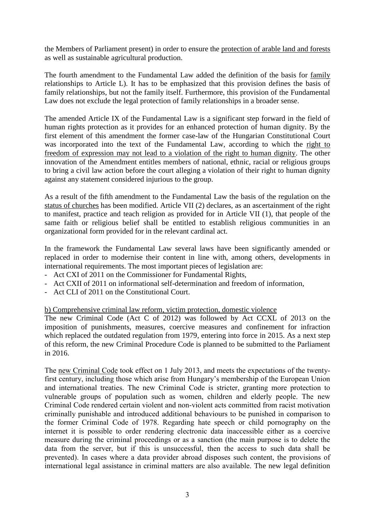the Members of Parliament present) in order to ensure the protection of arable land and forests as well as sustainable agricultural production.

The fourth amendment to the Fundamental Law added the definition of the basis for family relationships to Article L). It has to be emphasized that this provision defines the basis of family relationships, but not the family itself. Furthermore, this provision of the Fundamental Law does not exclude the legal protection of family relationships in a broader sense.

The amended Article IX of the Fundamental Law is a significant step forward in the field of human rights protection as it provides for an enhanced protection of human dignity. By the first element of this amendment the former case-law of the Hungarian Constitutional Court was incorporated into the text of the Fundamental Law, according to which the right to freedom of expression may not lead to a violation of the right to human dignity. The other innovation of the Amendment entitles members of national, ethnic, racial or religious groups to bring a civil law action before the court alleging a violation of their right to human dignity against any statement considered injurious to the group.

As a result of the fifth amendment to the Fundamental Law the basis of the regulation on the status of churches has been modified. Article VII (2) declares, as an ascertainment of the right to manifest, practice and teach religion as provided for in Article VII (1), that people of the same faith or religious belief shall be entitled to establish religious communities in an organizational form provided for in the relevant cardinal act.

In the framework the Fundamental Law several laws have been significantly amended or replaced in order to modernise their content in line with, among others, developments in international requirements. The most important pieces of legislation are:

- Act CXI of 2011 on the Commissioner for Fundamental Rights,
- Act CXII of 2011 on informational self-determination and freedom of information,
- Act CLI of 2011 on the Constitutional Court.

### b) Comprehensive criminal law reform, victim protection, domestic violence

The new Criminal Code (Act C of 2012) was followed by Act CCXL of 2013 on the imposition of punishments, measures, coercive measures and confinement for infraction which replaced the outdated regulation from 1979, entering into force in 2015. As a next step of this reform, the new Criminal Procedure Code is planned to be submitted to the Parliament in 2016.

The new Criminal Code took effect on 1 July 2013, and meets the expectations of the twentyfirst century, including those which arise from Hungary's membership of the European Union and international treaties. The new Criminal Code is stricter, granting more protection to vulnerable groups of population such as women, children and elderly people. The new Criminal Code rendered certain violent and non-violent acts committed from racist motivation criminally punishable and introduced additional behaviours to be punished in comparison to the former Criminal Code of 1978. Regarding hate speech or child pornography on the internet it is possible to order rendering electronic data inaccessible either as a coercive measure during the criminal proceedings or as a sanction (the main purpose is to delete the data from the server, but if this is unsuccessful, then the access to such data shall be prevented). In cases where a data provider abroad disposes such content, the provisions of international legal assistance in criminal matters are also available. The new legal definition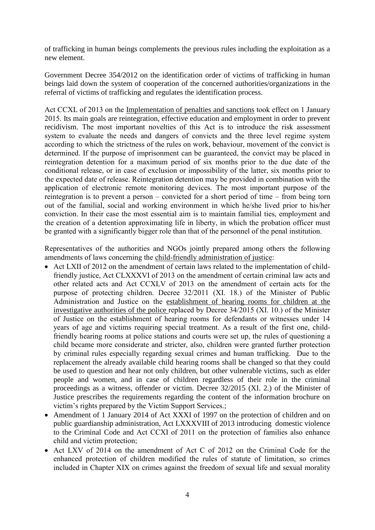of trafficking in human beings complements the previous rules including the exploitation as a new element.

Government Decree 354/2012 on the identification order of victims of trafficking in human beings laid down the system of cooperation of the concerned authorities/organizations in the referral of victims of trafficking and regulates the identification process.

Act CCXL of 2013 on the Implementation of penalties and sanctions took effect on 1 January 2015. Its main goals are reintegration, effective education and employment in order to prevent recidivism. The most important novelties of this Act is to introduce the risk assessment system to evaluate the needs and dangers of convicts and the three level regime system according to which the strictness of the rules on work, behaviour, movement of the convict is determined. If the purpose of imprisonment can be guaranteed, the convict may be placed in reintegration detention for a maximum period of six months prior to the due date of the conditional release, or in case of exclusion or impossibility of the latter, six months prior to the expected date of release. Reintegration detention may be provided in combination with the application of electronic remote monitoring devices. The most important purpose of the reintegration is to prevent a person – convicted for a short period of time – from being torn out of the familial, social and working environment in which he/she lived prior to his/her conviction. In their case the most essential aim is to maintain familial ties, employment and the creation of a detention approximating life in liberty, in which the probation officer must be granted with a significantly bigger role than that of the personnel of the penal institution.

Representatives of the authorities and NGOs jointly prepared among others the following amendments of laws concerning the child-friendly administration of justice:

- Act LXII of 2012 on the amendment of certain laws related to the implementation of childfriendly justice, Act CLXXXVI of 2013 on the amendment of certain criminal law acts and other related acts and Act CCXLV of 2013 on the amendment of certain acts for the purpose of protecting children. Decree 32/2011 (XI. 18.) of the Minister of Public Administration and Justice on the establishment of hearing rooms for children at the investigative authorities of the police replaced by Decree 34/2015 (XI. 10.) of the Minister of Justice on the establishment of hearing rooms for defendants or witnesses under 14 years of age and victims requiring special treatment. As a result of the first one, childfriendly hearing rooms at police stations and courts were set up, the rules of questioning a child became more considerate and stricter, also, children were granted further protection by criminal rules especially regarding sexual crimes and human trafficking. Due to the replacement the already available child hearing rooms shall be changed so that they could be used to question and hear not only children, but other vulnerable victims, such as elder people and women, and in case of children regardless of their role in the criminal proceedings as a witness, offender or victim. Decree 32/2015 (XI. 2.) of the Minister of Justice prescribes the requirements regarding the content of the information brochure on victim's rights prepared by the Victim Support Services.;
- Amendment of 1 January 2014 of Act XXXI of 1997 on the protection of children and on public guardianship administration, Act LXXXVIII of 2013 introducing domestic violence to the Criminal Code and Act CCXI of 2011 on the protection of families also enhance child and victim protection;
- Act LXV of 2014 on the amendment of Act C of 2012 on the Criminal Code for the enhanced protection of children modified the rules of statute of limitation, so crimes included in Chapter XIX on crimes against the freedom of sexual life and sexual morality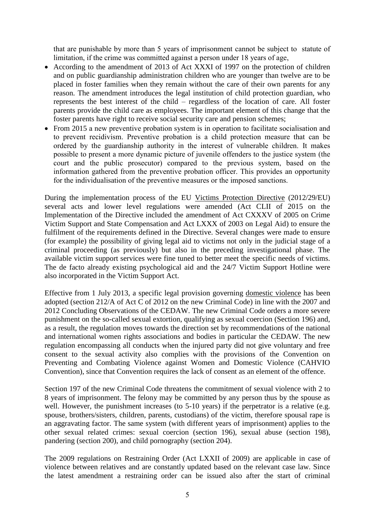that are punishable by more than 5 years of imprisonment cannot be subject to statute of limitation, if the crime was committed against a person under 18 years of age,

- According to the amendment of 2013 of Act XXXI of 1997 on the protection of children and on public guardianship administration children who are younger than twelve are to be placed in foster families when they remain without the care of their own parents for any reason. The amendment introduces the legal institution of child protection guardian, who represents the best interest of the child – regardless of the location of care. All foster parents provide the child care as employees. The important element of this change that the foster parents have right to receive social security care and pension schemes;
- From 2015 a new preventive probation system is in operation to facilitate socialisation and to prevent recidivism. Preventive probation is a child protection measure that can be ordered by the guardianship authority in the interest of vulnerable children. It makes possible to present a more dynamic picture of juvenile offenders to the justice system (the court and the public prosecutor) compared to the previous system, based on the information gathered from the preventive probation officer. This provides an opportunity for the individualisation of the preventive measures or the imposed sanctions.

During the implementation process of the EU Victims Protection Directive (2012/29/EU) several acts and lower level regulations were amended (Act CLII of 2015 on the Implementation of the Directive included the amendment of Act CXXXV of 2005 on Crime Victim Support and State Compensation and Act LXXX of 2003 on Legal Aid) to ensure the fulfilment of the requirements defined in the Directive. Several changes were made to ensure (for example) the possibility of giving legal aid to victims not only in the judicial stage of a criminal proceeding (as previously) but also in the preceding investigational phase. The available victim support services were fine tuned to better meet the specific needs of victims. The de facto already existing psychological aid and the 24/7 Victim Support Hotline were also incorporated in the Victim Support Act.

Effective from 1 July 2013, a specific legal provision governing domestic violence has been adopted (section 212/A of Act C of 2012 on the new Criminal Code) in line with the 2007 and 2012 Concluding Observations of the CEDAW. The new Criminal Code orders a more severe punishment on the so-called sexual extortion, qualifying as sexual coercion (Section 196) and, as a result, the regulation moves towards the direction set by recommendations of the national and international women rights associations and bodies in particular the CEDAW. The new regulation encompassing all conducts when the injured party did not give voluntary and free consent to the sexual activity also complies with the provisions of the Convention on Preventing and Combating Violence against Women and Domestic Violence (CAHVIO Convention), since that Convention requires the lack of consent as an element of the offence.

Section 197 of the new Criminal Code threatens the commitment of sexual violence with 2 to 8 years of imprisonment. The felony may be committed by any person thus by the spouse as well. However, the punishment increases (to 5-10 years) if the perpetrator is a relative (e.g. spouse, brothers/sisters, children, parents, custodians) of the victim, therefore spousal rape is an aggravating factor. The same system (with different years of imprisonment) applies to the other sexual related crimes: sexual coercion (section 196), sexual abuse (section 198), pandering (section 200), and child pornography (section 204).

The 2009 regulations on Restraining Order (Act LXXII of 2009) are applicable in case of violence between relatives and are constantly updated based on the relevant case law. Since the latest amendment a restraining order can be issued also after the start of criminal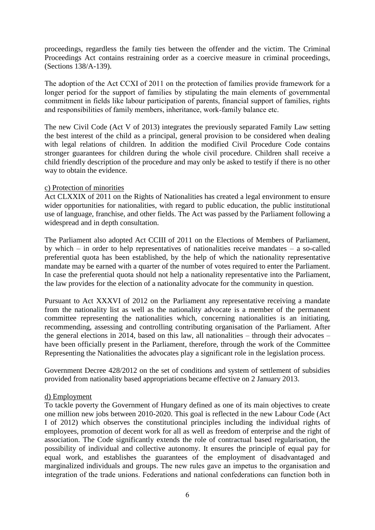proceedings, regardless the family ties between the offender and the victim. The Criminal Proceedings Act contains restraining order as a coercive measure in criminal proceedings, (Sections 138/A-139).

The adoption of the Act CCXI of 2011 on the protection of families provide framework for a longer period for the support of families by stipulating the main elements of governmental commitment in fields like labour participation of parents, financial support of families, rights and responsibilities of family members, inheritance, work-family balance etc.

The new Civil Code (Act V of 2013) integrates the previously separated Family Law setting the best interest of the child as a principal, general provision to be considered when dealing with legal relations of children. In addition the modified Civil Procedure Code contains stronger guarantees for children during the whole civil procedure. Children shall receive a child friendly description of the procedure and may only be asked to testify if there is no other way to obtain the evidence.

### c) Protection of minorities

Act CLXXIX of 2011 on the Rights of Nationalities has created a legal environment to ensure wider opportunities for nationalities, with regard to public education, the public institutional use of language, franchise, and other fields. The Act was passed by the Parliament following a widespread and in depth consultation.

The Parliament also adopted Act CCIII of 2011 on the Elections of Members of Parliament, by which – in order to help representatives of nationalities receive mandates – a so-called preferential quota has been established, by the help of which the nationality representative mandate may be earned with a quarter of the number of votes required to enter the Parliament. In case the preferential quota should not help a nationality representative into the Parliament, the law provides for the election of a nationality advocate for the community in question.

Pursuant to Act XXXVI of 2012 on the Parliament any representative receiving a mandate from the nationality list as well as the nationality advocate is a member of the permanent committee representing the nationalities which, concerning nationalities is an initiating, recommending, assessing and controlling contributing organisation of the Parliament. After the general elections in 2014, based on this law, all nationalities – through their advocates – have been officially present in the Parliament, therefore, through the work of the Committee Representing the Nationalities the advocates play a significant role in the legislation process.

Government Decree 428/2012 on the set of conditions and system of settlement of subsidies provided from nationality based appropriations became effective on 2 January 2013.

### d) Employment

To tackle poverty the Government of Hungary defined as one of its main objectives to create one million new jobs between 2010-2020. This goal is reflected in the new Labour Code (Act I of 2012) which observes the constitutional principles including the individual rights of employees, promotion of decent work for all as well as freedom of enterprise and the right of association. The Code significantly extends the role of contractual based regularisation, the possibility of individual and collective autonomy. It ensures the principle of equal pay for equal work, and establishes the guarantees of the employment of disadvantaged and marginalized individuals and groups. The new rules gave an impetus to the organisation and integration of the trade unions. Federations and national confederations can function both in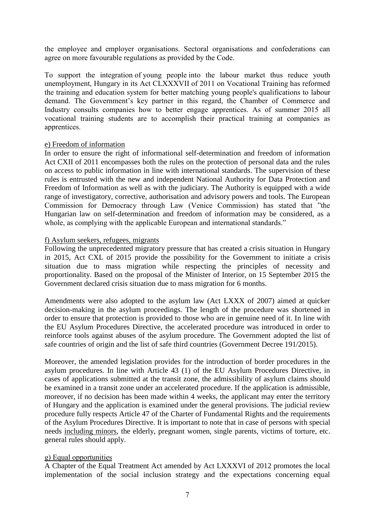the employee and employer organisations. Sectoral organisations and confederations can agree on more favourable regulations as provided by the Code.

To support the integration of young people into the labour market thus reduce youth unemployment, Hungary in its Act CLXXXVII of 2011 on Vocational Training has reformed the training and education system for better matching young people's qualifications to labour demand. The Government's key partner in this regard, the Chamber of Commerce and Industry consults companies how to better engage apprentices. As of summer 2015 all vocational training students are to accomplish their practical training at companies as apprentices.

### e) Freedom of information

In order to ensure the right of informational self-determination and freedom of information Act CXII of 2011 encompasses both the rules on the protection of personal data and the rules on access to public information in line with international standards. The supervision of these rules is entrusted with the new and independent National Authority for Data Protection and Freedom of Information as well as with the judiciary. The Authority is equipped with a wide range of investigatory, corrective, authorisation and advisory powers and tools. The European Commission for Democracy through Law (Venice Commission) has stated that "the Hungarian law on self-determination and freedom of information may be considered, as a whole, as complying with the applicable European and international standards."

#### f) Asylum seekers, refugees, migrants

Following the unprecedented migratory pressure that has created a crisis situation in Hungary in 2015, Act CXL of 2015 provide the possibility for the Government to initiate a crisis situation due to mass migration while respecting the principles of necessity and proportionality. Based on the proposal of the Minister of Interior, on 15 September 2015 the Government declared crisis situation due to mass migration for 6 months.

Amendments were also adopted to the asylum law (Act LXXX of 2007) aimed at quicker decision-making in the asylum proceedings. The length of the procedure was shortened in order to ensure that protection is provided to those who are in genuine need of it. In line with the EU Asylum Procedures Directive, the accelerated procedure was introduced in order to reinforce tools against abuses of the asylum procedure. The Government adopted the list of safe countries of origin and the list of safe third countries (Government Decree 191/2015).

Moreover, the amended legislation provides for the introduction of border procedures in the asylum procedures. In line with Article 43 (1) of the EU Asylum Procedures Directive, in cases of applications submitted at the transit zone, the admissibility of asylum claims should be examined in a transit zone under an accelerated procedure. If the application is admissible, moreover, if no decision has been made within 4 weeks, the applicant may enter the territory of Hungary and the application is examined under the general provisions. The judicial review procedure fully respects Article 47 of the Charter of Fundamental Rights and the requirements of the Asylum Procedures Directive. It is important to note that in case of persons with special needs including minors, the elderly, pregnant women, single parents, victims of torture, etc. general rules should apply.

#### g) Equal opportunities

A Chapter of the Equal Treatment Act amended by Act LXXXVI of 2012 promotes the local implementation of the social inclusion strategy and the expectations concerning equal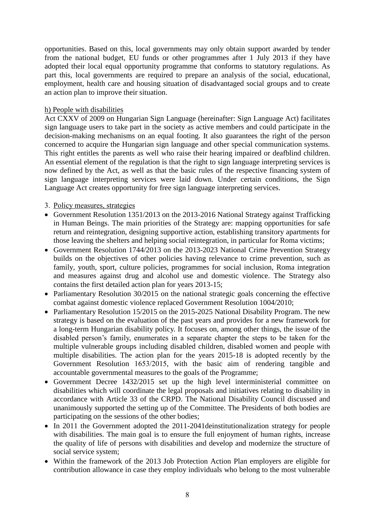opportunities. Based on this, local governments may only obtain support awarded by tender from the national budget, EU funds or other programmes after 1 July 2013 if they have adopted their local equal opportunity programme that conforms to statutory regulations. As part this, local governments are required to prepare an analysis of the social, educational, employment, health care and housing situation of disadvantaged social groups and to create an action plan to improve their situation.

### h) People with disabilities

Act CXXV of 2009 on Hungarian Sign Language (hereinafter: Sign Language Act) facilitates sign language users to take part in the society as active members and could participate in the decision-making mechanisms on an equal footing. It also guarantees the right of the person concerned to acquire the Hungarian sign language and other special communication systems. This right entitles the parents as well who raise their hearing impaired or deafblind children. An essential element of the regulation is that the right to sign language interpreting services is now defined by the Act, as well as that the basic rules of the respective financing system of sign language interpreting services were laid down. Under certain conditions, the Sign Language Act creates opportunity for free sign language interpreting services.

### 3. Policy measures, strategies

- Government Resolution 1351/2013 on the 2013-2016 National Strategy against Trafficking in Human Beings. The main priorities of the Strategy are: mapping opportunities for safe return and reintegration, designing supportive action, establishing transitory apartments for those leaving the shelters and helping social reintegration, in particular for Roma victims;
- Government Resolution 1744/2013 on the 2013-2023 National Crime Prevention Strategy builds on the objectives of other policies having relevance to crime prevention, such as family, youth, sport, culture policies, programmes for social inclusion, Roma integration and measures against drug and alcohol use and domestic violence. The Strategy also contains the first detailed action plan for years 2013-15;
- Parliamentary Resolution 30/2015 on the national strategic goals concerning the effective combat against domestic violence replaced Government Resolution 1004/2010;
- Parliamentary Resolution 15/2015 on the 2015-2025 National Disability Program. The new strategy is based on the evaluation of the past years and provides for a new framework for a long-term Hungarian disability policy. It focuses on, among other things, the issue of the disabled person's family, enumerates in a separate chapter the steps to be taken for the multiple vulnerable groups including disabled children, disabled women and people with multiple disabilities. The action plan for the years 2015-18 is adopted recently by the Government Resolution 1653/2015, with the basic aim of rendering tangible and accountable governmental measures to the goals of the Programme;
- Government Decree 1432/2015 set up the high level interministerial committee on disabilities which will coordinate the legal proposals and initiatives relating to disability in accordance with Article 33 of the CRPD. The National Disability Council discussed and unanimously supported the setting up of the Committee. The Presidents of both bodies are participating on the sessions of the other bodies;
- In 2011 the Government adopted the 2011-2041 deinstitutionalization strategy for people with disabilities. The main goal is to ensure the full enjoyment of human rights, increase the quality of life of persons with disabilities and develop and modernize the structure of social service system;
- Within the framework of the 2013 Job Protection Action Plan employers are eligible for contribution allowance in case they employ individuals who belong to the most vulnerable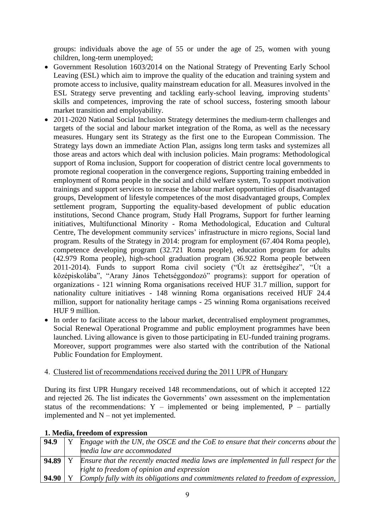groups: individuals above the age of 55 or under the age of 25, women with young children, long-term unemployed;

- Government Resolution 1603/2014 on the National Strategy of Preventing Early School Leaving (ESL) which aim to improve the quality of the education and training system and promote access to inclusive, quality mainstream education for all. Measures involved in the ESL Strategy serve preventing and tackling early-school leaving, improving students' skills and competences, improving the rate of school success, fostering smooth labour market transition and employability.
- 2011-2020 National Social Inclusion Strategy determines the medium-term challenges and targets of the social and labour market integration of the Roma, as well as the necessary measures. Hungary sent its Strategy as the first one to the European Commission. The Strategy lays down an immediate Action Plan, assigns long term tasks and systemizes all those areas and actors which deal with inclusion policies. Main programs: Methodological support of Roma inclusion, Support for cooperation of district centre local governments to promote regional cooperation in the convergence regions, Supporting training embedded in employment of Roma people in the social and child welfare system, To support motivation trainings and support services to increase the labour market opportunities of disadvantaged groups, Development of lifestyle competences of the most disadvantaged groups, Complex settlement program, Supporting the equality-based development of public education institutions, Second Chance program, Study Hall Programs, Support for further learning initiatives, Multifunctional Minority - Roma Methodological, Education and Cultural Centre, The development community services' infrastructure in micro regions, Social land program. Results of the Strategy in 2014: program for employment (67.404 Roma people), competence developing program (32.721 Roma people), education program for adults (42.979 Roma people), high-school graduation program (36.922 Roma people between 2011-2014). Funds to support Roma civil society ("Út az érettségihez", "Út a középiskolába", "Arany János Tehetséggondozó" programs): support for operation of organizations - 121 winning Roma organisations received HUF 31.7 million, support for nationality culture initiatives - 148 winning Roma organisations received HUF 24.4 million, support for nationality heritage camps - 25 winning Roma organisations received HUF 9 million.
- In order to facilitate access to the labour market, decentralised employment programmes, Social Renewal Operational Programme and public employment programmes have been launched. Living allowance is given to those participating in EU-funded training programs. Moreover, support programmes were also started with the contribution of the National Public Foundation for Employment.

### 4. Clustered list of recommendations received during the 2011 UPR of Hungary

During its first UPR Hungary received 148 recommendations, out of which it accepted 122 and rejected 26. The list indicates the Governments' own assessment on the implementation status of the recommendations: Y – implemented or being implemented,  $\overrightarrow{P}$  – partially implemented and  $N - not$  yet implemented.

| 94.9  | Engage with the UN, the OSCE and the CoE to ensure that their concerns about the    |
|-------|-------------------------------------------------------------------------------------|
|       | media law are accommodated                                                          |
| 94.89 | Ensure that the recently enacted media laws are implemented in full respect for the |
|       | right to freedom of opinion and expression                                          |
| 94.90 | Comply fully with its obligations and commitments related to freedom of expression, |

### **1. Media, freedom of expression**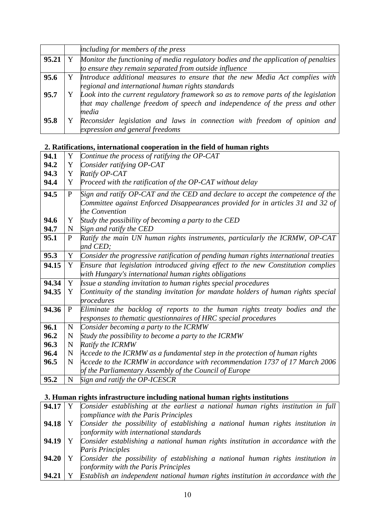|       | including for members of the press                                                                                                                                           |
|-------|------------------------------------------------------------------------------------------------------------------------------------------------------------------------------|
| 95.21 | Monitor the functioning of media regulatory bodies and the application of penalties<br>to ensure they remain separated from outside influence                                |
| 95.6  | Y Introduce additional measures to ensure that the new Media Act complies with<br>regional and international human rights standards                                          |
| 95.7  | Look into the current regulatory framework so as to remove parts of the legislation<br>that may challenge freedom of speech and independence of the press and other<br>media |
| 95.8  | Reconsider legislation and laws in connection with freedom of opinion and<br>expression and general freedoms                                                                 |

### **2. Ratifications, international cooperation in the field of human rights**

| 94.1  | Y            | Continue the process of ratifying the OP-CAT                                         |
|-------|--------------|--------------------------------------------------------------------------------------|
| 94.2  | Y            | Consider ratifying OP-CAT                                                            |
| 94.3  | Y            | Ratify OP-CAT                                                                        |
| 94.4  | Y            | Proceed with the ratification of the OP-CAT without delay                            |
| 94.5  | $\mathbf{P}$ | Sign and ratify OP-CAT and the CED and declare to accept the competence of the       |
|       |              | Committee against Enforced Disappearances provided for in articles 31 and 32 of      |
|       |              | the Convention                                                                       |
| 94.6  | Y            | Study the possibility of becoming a party to the CED                                 |
| 94.7  | $\mathbf N$  | Sign and ratify the CED                                                              |
| 95.1  | P            | Ratify the main UN human rights instruments, particularly the ICRMW, OP-CAT          |
|       |              | and CED;                                                                             |
| 95.3  | Y            | Consider the progressive ratification of pending human rights international treaties |
| 94.15 | Y            | Ensure that legislation introduced giving effect to the new Constitution complies    |
|       |              | with Hungary's international human rights obligations                                |
| 94.34 | Y            | Issue a standing invitation to human rights special procedures                       |
| 94.35 | Y            | Continuity of the standing invitation for mandate holders of human rights special    |
|       |              | procedures                                                                           |
| 94.36 | P            | Eliminate the backlog of reports to the human rights treaty bodies and the           |
|       |              | responses to thematic questionnaires of HRC special procedures                       |
| 96.1  | $\mathbf N$  | Consider becoming a party to the ICRMW                                               |
| 96.2  | N            | Study the possibility to become a party to the ICRMW                                 |
| 96.3  | N            | Ratify the ICRMW                                                                     |
| 96.4  | $\mathbf N$  | Accede to the ICRMW as a fundamental step in the protection of human rights          |
| 96.5  | N            | Accede to the ICRMW in accordance with recommendation 1737 of 17 March 2006          |
|       |              | of the Parliamentary Assembly of the Council of Europe                               |
| 95.2  | N            | Sign and ratify the OP-ICESCR                                                        |

# **3. Human rights infrastructure including national human rights institutions**

| 94.17     | Consider establishing at the earliest a national human rights institution in full |
|-----------|-----------------------------------------------------------------------------------|
|           | compliance with the Paris Principles                                              |
| $94.18$ Y | Consider the possibility of establishing a national human rights institution in   |
|           | conformity with international standards                                           |
| 94.19     | Consider establishing a national human rights institution in accordance with the  |
|           | <b>Paris Principles</b>                                                           |
| $94.20$ Y | Consider the possibility of establishing a national human rights institution in   |
|           | conformity with the Paris Principles                                              |
| 94.21     | Establish an independent national human rights institution in accordance with the |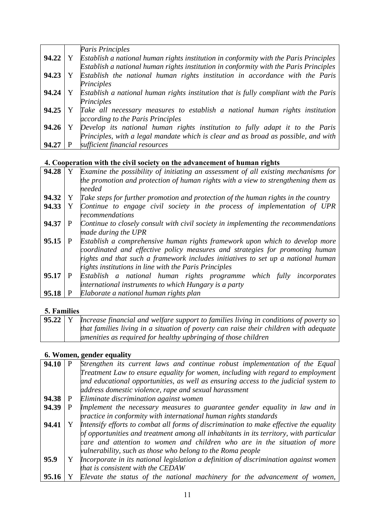|       |   | Paris Principles                                                                      |
|-------|---|---------------------------------------------------------------------------------------|
| 94.22 | Y | Establish a national human rights institution in conformity with the Paris Principles |
|       |   | Establish a national human rights institution in conformity with the Paris Principles |
| 94.23 | Y | Establish the national human rights institution in accordance with the Paris          |
|       |   | Principles                                                                            |
| 94.24 |   | Establish a national human rights institution that is fully compliant with the Paris  |
|       |   | Principles                                                                            |
| 94.25 |   | Take all necessary measures to establish a national human rights institution          |
|       |   | according to the Paris Principles                                                     |
| 94.26 |   | Develop its national human rights institution to fully adapt it to the Paris          |
|       |   | Principles, with a legal mandate which is clear and as broad as possible, and with    |
| 94.27 |   | sufficient financial resources                                                        |
|       |   |                                                                                       |

# **4. Cooperation with the civil society on the advancement of human rights**

| 94.28 |              | Examine the possibility of initiating an assessment of all existing mechanisms for |
|-------|--------------|------------------------------------------------------------------------------------|
|       |              | the promotion and protection of human rights with a view to strengthening them as  |
|       |              | needed                                                                             |
| 94.32 | Y            | Take steps for further promotion and protection of the human rights in the country |
| 94.33 | Y            | Continue to engage civil society in the process of implementation of UPR           |
|       |              | recommendations                                                                    |
| 94.37 | P            | Continue to closely consult with civil society in implementing the recommendations |
|       |              | made during the UPR                                                                |
| 95.15 |              | Establish a comprehensive human rights framework upon which to develop more        |
|       |              | coordinated and effective policy measures and strategies for promoting human       |
|       |              | rights and that such a framework includes initiatives to set up a national human   |
|       |              | rights institutions in line with the Paris Principles                              |
| 95.17 | $\mathbf{P}$ | Establish a national human rights programme which fully<br>incorporates            |
|       |              | international instruments to which Hungary is a party                              |
| 95.18 |              | Elaborate a national human rights plan                                             |
|       |              |                                                                                    |

## **5. Families**

|  | <b>95.22</b> $\vert$ Y <b>I</b> ncrease financial and welfare support to families living in conditions of poverty so |
|--|----------------------------------------------------------------------------------------------------------------------|
|  | that families living in a situation of poverty can raise their children with adequate                                |
|  | amenities as required for healthy upbringing of those children                                                       |

## **6. Women, gender equality**

| 94.10   | Strengthen its current laws and continue robust implementation of the Equal                                                                                                                                                                                                                                                 |
|---------|-----------------------------------------------------------------------------------------------------------------------------------------------------------------------------------------------------------------------------------------------------------------------------------------------------------------------------|
|         | Treatment Law to ensure equality for women, including with regard to employment                                                                                                                                                                                                                                             |
|         | and educational opportunities, as well as ensuring access to the judicial system to                                                                                                                                                                                                                                         |
|         | address domestic violence, rape and sexual harassment                                                                                                                                                                                                                                                                       |
| 94.38 P | Eliminate discrimination against women                                                                                                                                                                                                                                                                                      |
| 94.39   | Implement the necessary measures to guarantee gender equality in law and in<br>practice in conformity with international human rights standards                                                                                                                                                                             |
| 94.41   | Intensify efforts to combat all forms of discrimination to make effective the equality<br>of opportunities and treatment among all inhabitants in its territory, with particular<br>care and attention to women and children who are in the situation of more<br>vulnerability, such as those who belong to the Roma people |
| 95.9    | Incorporate in its national legislation a definition of discrimination against women<br>that is consistent with the CEDAW                                                                                                                                                                                                   |
| 95.16   | Elevate the status of the national machinery for the advancement of women,                                                                                                                                                                                                                                                  |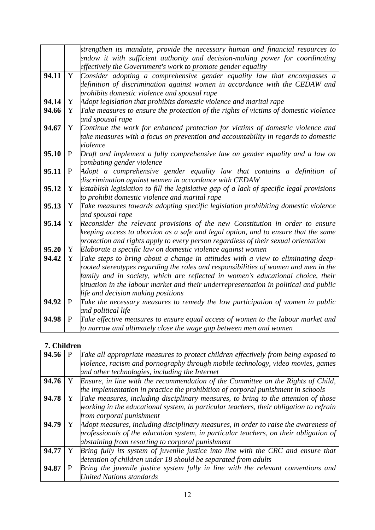|       |              | strengthen its mandate, provide the necessary human and financial resources to           |
|-------|--------------|------------------------------------------------------------------------------------------|
|       |              | endow it with sufficient authority and decision-making power for coordinating            |
|       |              | effectively the Government's work to promote gender equality                             |
| 94.11 | Y            | Consider adopting a comprehensive gender equality law that encompasses a                 |
|       |              | definition of discrimination against women in accordance with the CEDAW and              |
|       |              | prohibits domestic violence and spousal rape                                             |
| 94.14 | Y            | Adopt legislation that prohibits domestic violence and marital rape                      |
| 94.66 | Y            | Take measures to ensure the protection of the rights of victims of domestic violence     |
|       |              | and spousal rape                                                                         |
| 94.67 | Y            | Continue the work for enhanced protection for victims of domestic violence and           |
|       |              | take measures with a focus on prevention and accountability in regards to domestic       |
|       |              | violence                                                                                 |
| 95.10 | $\mathbf{P}$ | Draft and implement a fully comprehensive law on gender equality and a law on            |
|       |              | combating gender violence                                                                |
| 95.11 | $\mathbf P$  | Adopt a comprehensive gender equality law that contains a definition of                  |
|       |              | discrimination against women in accordance with CEDAW                                    |
| 95.12 | Y            | Establish legislation to fill the legislative gap of a lack of specific legal provisions |
|       |              | to prohibit domestic violence and marital rape                                           |
| 95.13 | Y            | Take measures towards adopting specific legislation prohibiting domestic violence        |
|       |              | and spousal rape                                                                         |
| 95.14 | Y            | Reconsider the relevant provisions of the new Constitution in order to ensure            |
|       |              | keeping access to abortion as a safe and legal option, and to ensure that the same       |
|       |              | protection and rights apply to every person regardless of their sexual orientation       |
| 95.20 | Y            | Elaborate a specific law on domestic violence against women                              |
| 94.42 | Y            | Take steps to bring about a change in attitudes with a view to eliminating deep-         |
|       |              | rooted stereotypes regarding the roles and responsibilities of women and men in the      |
|       |              | family and in society, which are reflected in women's educational choice, their          |
|       |              | situation in the labour market and their underrepresentation in political and public     |
|       |              | life and decision making positions                                                       |
| 94.92 | P            | Take the necessary measures to remedy the low participation of women in public           |
|       |              | and political life                                                                       |
| 94.98 | $\mathbf{P}$ | Take effective measures to ensure equal access of women to the labour market and         |
|       |              | to narrow and ultimately close the wage gap between men and women                        |

## **7. Children**

| 94.56 | P | Take all appropriate measures to protect children effectively from being exposed to    |
|-------|---|----------------------------------------------------------------------------------------|
|       |   | violence, racism and pornography through mobile technology, video movies, games        |
|       |   | and other technologies, including the Internet                                         |
| 94.76 | Y | Ensure, in line with the recommendation of the Committee on the Rights of Child,       |
|       |   | the implementation in practice the prohibition of corporal punishment in schools       |
| 94.78 | Y | Take measures, including disciplinary measures, to bring to the attention of those     |
|       |   | working in the educational system, in particular teachers, their obligation to refrain |
|       |   | from corporal punishment                                                               |
| 94.79 | Y | Adopt measures, including disciplinary measures, in order to raise the awareness of    |
|       |   | professionals of the education system, in particular teachers, on their obligation of  |
|       |   | abstaining from resorting to corporal punishment                                       |
| 94.77 | Y | Bring fully its system of juvenile justice into line with the CRC and ensure that      |
|       |   | detention of children under 18 should be separated from adults                         |
| 94.87 |   | Bring the juvenile justice system fully in line with the relevant conventions and      |
|       |   | <b>United Nations standards</b>                                                        |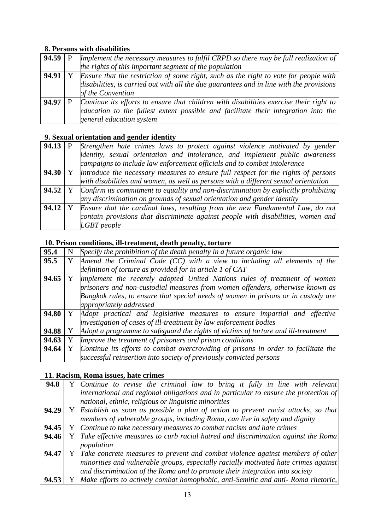## **8. Persons with disabilities**

| 94.59   P | Implement the necessary measures to fulfil CRPD so there may be full realization of      |
|-----------|------------------------------------------------------------------------------------------|
|           | the rights of this important segment of the population                                   |
| 94.91     | Ensure that the restriction of some right, such as the right to vote for people with     |
|           | disabilities, is carried out with all the due guarantees and in line with the provisions |
|           | of the Convention                                                                        |
| 94.97     | Continue its efforts to ensure that children with disabilities exercise their right to   |
|           | education to the fullest extent possible and facilitate their integration into the       |
|           | general education system                                                                 |

## **9. Sexual orientation and gender identity**

| 94.13 | Strengthen hate crimes laws to protect against violence motivated by gender                                 |
|-------|-------------------------------------------------------------------------------------------------------------|
|       | dentity, sexual orientation and intolerance, and implement public awareness                                 |
|       | campaigns to include law enforcement officials and to combat intolerance                                    |
| 94.30 | Introduce the necessary measures to ensure full respect for the rights of persons                           |
|       | with disabilities and women, as well as persons with a different sexual orientation                         |
|       | <b>94.52</b>   Y $\Box$ Confirm its commitment to equality and non-discrimination by explicitly prohibiting |
|       | any discrimination on grounds of sexual orientation and gender identity                                     |
| 94.12 | Ensure that the cardinal laws, resulting from the new Fundamental Law, do not                               |
|       | contain provisions that discriminate against people with disabilities, women and                            |
|       | <b>LGBT</b> people                                                                                          |

## **10. Prison conditions, ill-treatment, death penalty, torture**

| 95.4  | N | Specify the prohibition of the death penalty in a future organic law              |
|-------|---|-----------------------------------------------------------------------------------|
| 95.5  | Y | Amend the Criminal Code $(CC)$ with a view to including all elements of the       |
|       |   | definition of torture as provided for in article $1$ of $CAT$                     |
| 94.65 |   | Implement the recently adopted United Nations rules of treatment of women         |
|       |   | prisoners and non-custodial measures from women offenders, otherwise known as     |
|       |   | Bangkok rules, to ensure that special needs of women in prisons or in custody are |
|       |   | appropriately addressed                                                           |
| 94.80 |   | Y Adopt practical and legislative measures to ensure impartial and effective      |
|       |   | investigation of cases of ill-treatment by law enforcement bodies                 |
| 94.88 |   | Adopt a programme to safeguard the rights of victims of torture and ill-treatment |
| 94.63 |   | Improve the treatment of prisoners and prison conditions                          |
| 94.64 |   | Continue its efforts to combat overcrowding of prisons in order to facilitate the |
|       |   | successful reinsertion into society of previously convicted persons               |

### **11. Racism, Roma issues, hate crimes**

| 94.8  | Y Continue to revise the criminal law to bring it fully in line with relevant        |
|-------|--------------------------------------------------------------------------------------|
|       | international and regional obligations and in particular to ensure the protection of |
|       | national, ethnic, religious or linguistic minorities                                 |
| 94.29 | Y Establish as soon as possible a plan of action to prevent racist attacks, so that  |
|       | members of vulnerable groups, including Roma, can live in safety and dignity         |
| 94.45 | Y Continue to take necessary measures to combat racism and hate crimes               |
| 94.46 | Y Take effective measures to curb racial hatred and discrimination against the Roma  |
|       | population                                                                           |
| 94.47 | Y Take concrete measures to prevent and combat violence against members of other     |
|       | minorities and vulnerable groups, especially racially motivated hate crimes against  |
|       | and discrimination of the Roma and to promote their integration into society         |
| 94.53 | Make efforts to actively combat homophobic, anti-Semitic and anti- Roma rhetoric,    |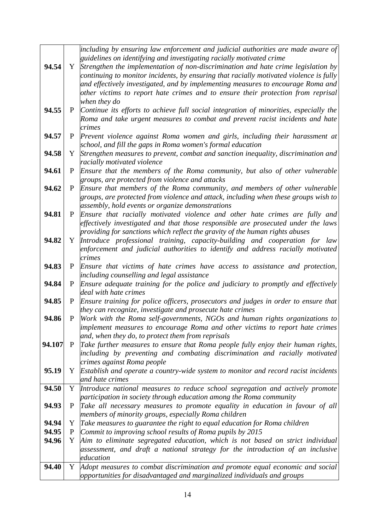|        |              | including by ensuring law enforcement and judicial authorities are made aware of       |
|--------|--------------|----------------------------------------------------------------------------------------|
|        |              | guidelines on identifying and investigating racially motivated crime                   |
| 94.54  | Y            | Strengthen the implementation of non-discrimination and hate crime legislation by      |
|        |              | continuing to monitor incidents, by ensuring that racially motivated violence is fully |
|        |              | and effectively investigated, and by implementing measures to encourage Roma and       |
|        |              | other victims to report hate crimes and to ensure their protection from reprisal       |
|        |              | when they do                                                                           |
| 94.55  | P            | Continue its efforts to achieve full social integration of minorities, especially the  |
|        |              | Roma and take urgent measures to combat and prevent racist incidents and hate          |
|        |              | crimes                                                                                 |
| 94.57  | P            |                                                                                        |
|        |              | Prevent violence against Roma women and girls, including their harassment at           |
|        |              | school, and fill the gaps in Roma women's formal education                             |
| 94.58  | Y            | Strengthen measures to prevent, combat and sanction inequality, discrimination and     |
|        |              | racially motivated violence                                                            |
| 94.61  | $\mathbf{P}$ | Ensure that the members of the Roma community, but also of other vulnerable            |
|        |              | groups, are protected from violence and attacks                                        |
| 94.62  | $\mathbf{P}$ | Ensure that members of the Roma community, and members of other vulnerable             |
|        |              | groups, are protected from violence and attack, including when these groups wish to    |
|        |              | assembly, hold events or organize demonstrations                                       |
| 94.81  | P            | Ensure that racially motivated violence and other hate crimes are fully and            |
|        |              | effectively investigated and that those responsible are prosecuted under the laws      |
|        |              | providing for sanctions which reflect the gravity of the human rights abuses           |
| 94.82  | Y            | Introduce professional training, capacity-building and cooperation for law             |
|        |              | enforcement and judicial authorities to identify and address racially motivated        |
|        |              | crimes                                                                                 |
| 94.83  | $\mathbf{P}$ | Ensure that victims of hate crimes have access to assistance and protection,           |
|        |              | including counselling and legal assistance                                             |
| 94.84  | P            | Ensure adequate training for the police and judiciary to promptly and effectively      |
|        |              | deal with hate crimes                                                                  |
| 94.85  | P            | Ensure training for police officers, prosecutors and judges in order to ensure that    |
|        |              | they can recognize, investigate and prosecute hate crimes                              |
| 94.86  | $\mathbf{P}$ | Work with the Roma self-governments, NGOs and human rights organizations to            |
|        |              | implement measures to encourage Roma and other victims to report hate crimes           |
|        |              | and, when they do, to protect them from reprisals                                      |
| 94.107 | $\mathbf{P}$ | Take further measures to ensure that Roma people fully enjoy their human rights,       |
|        |              | including by preventing and combating discrimination and racially motivated            |
|        |              | crimes against Roma people                                                             |
| 95.19  | Y            | Establish and operate a country-wide system to monitor and record racist incidents     |
|        |              | and hate crimes                                                                        |
|        | Y            |                                                                                        |
| 94.50  |              | Introduce national measures to reduce school segregation and actively promote          |
|        |              | participation in society through education among the Roma community                    |
| 94.93  | P            | Take all necessary measures to promote equality in education in favour of all          |
|        |              | members of minority groups, especially Roma children                                   |
| 94.94  | Y            | Take measures to guarantee the right to equal education for Roma children              |
| 94.95  | $\mathbf{P}$ | Commit to improving school results of Roma pupils by 2015                              |
| 94.96  | Y            | Aim to eliminate segregated education, which is not based on strict individual         |
|        |              | assessment, and draft a national strategy for the introduction of an inclusive         |
|        |              | education                                                                              |
| 94.40  | Y            | Adopt measures to combat discrimination and promote equal economic and social          |
|        |              | opportunities for disadvantaged and marginalized individuals and groups                |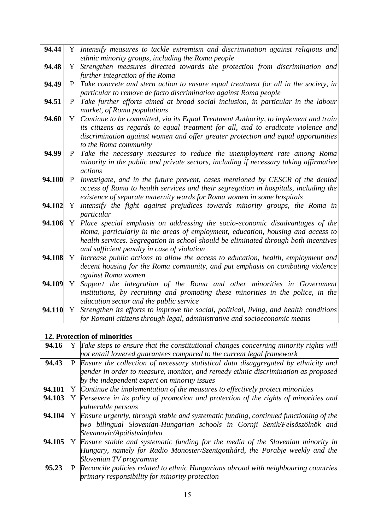| 94.44  |              | Y Intensify measures to tackle extremism and discrimination against religious and          |
|--------|--------------|--------------------------------------------------------------------------------------------|
|        |              | ethnic minority groups, including the Roma people                                          |
| 94.48  | Y            | Strengthen measures directed towards the protection from discrimination and                |
|        |              | further integration of the Roma                                                            |
| 94.49  | P            | Take concrete and stern action to ensure equal treatment for all in the society, in        |
|        |              | particular to remove de facto discrimination against Roma people                           |
| 94.51  | P            | Take further efforts aimed at broad social inclusion, in particular in the labour          |
|        |              | market, of Roma populations                                                                |
| 94.60  | Y            | Continue to be committed, via its Equal Treatment Authority, to implement and train        |
|        |              | its citizens as regards to equal treatment for all, and to eradicate violence and          |
|        |              | discrimination against women and offer greater protection and equal opportunities          |
|        |              | to the Roma community                                                                      |
| 94.99  | P            | Take the necessary measures to reduce the unemployment rate among Roma                     |
|        |              | minority in the public and private sectors, including if necessary taking affirmative      |
|        |              | actions                                                                                    |
| 94.100 | $\mathbf{P}$ | Investigate, and in the future prevent, cases mentioned by CESCR of the denied             |
|        |              | access of Roma to health services and their segregation in hospitals, including the        |
|        |              | existence of separate maternity wards for Roma women in some hospitals                     |
| 94.102 | Y            | Intensify the fight against prejudices towards minority groups, the Roma in                |
| 94.106 | Y            | particular<br>Place special emphasis on addressing the socio-economic disadvantages of the |
|        |              | Roma, particularly in the areas of employment, education, housing and access to            |
|        |              | health services. Segregation in school should be eliminated through both incentives        |
|        |              | and sufficient penalty in case of violation                                                |
| 94.108 | Y            | Increase public actions to allow the access to education, health, employment and           |
|        |              | decent housing for the Roma community, and put emphasis on combating violence              |
|        |              | against Roma women                                                                         |
| 94.109 | Y            | Support the integration of the Roma and other minorities in Government                     |
|        |              | institutions, by recruiting and promoting these minorities in the police, in the           |
|        |              | education sector and the public service                                                    |
| 94.110 | Y            | Strengthen its efforts to improve the social, political, living, and health conditions     |
|        |              | for Romani citizens through legal, administrative and socioeconomic means                  |

# **12. Protection of minorities**

| 94.16  |   | Y Take steps to ensure that the constitutional changes concerning minority rights will |
|--------|---|----------------------------------------------------------------------------------------|
|        |   | not entail lowered guarantees compared to the current legal framework                  |
| 94.43  |   | P Ensure the collection of necessary statistical data disaggregated by ethnicity and   |
|        |   | gender in order to measure, monitor, and remedy ethnic discrimination as proposed      |
|        |   | by the independent expert on minority issues                                           |
| 94.101 |   | Y Continue the implementation of the measures to effectively protect minorities        |
| 94.103 |   | Y Persevere in its policy of promotion and protection of the rights of minorities and  |
|        |   | vulnerable persons                                                                     |
| 94.104 |   | Y Ensure urgently, through stable and systematic funding, continued functioning of the |
|        |   | two bilingual Slovenian-Hungarian schools in Gornji Senik/Felsöszölnök and             |
|        |   | Stevanovic/Apátistvánfalva                                                             |
| 94.105 |   | Y Ensure stable and systematic funding for the media of the Slovenian minority in      |
|        |   | Hungary, namely for Radio Monoster/Szentgotthárd, the Porabje weekly and the           |
|        |   | Slovenian TV programme                                                                 |
| 95.23  | P | Reconcile policies related to ethnic Hungarians abroad with neighbouring countries     |
|        |   | primary responsibility for minority protection                                         |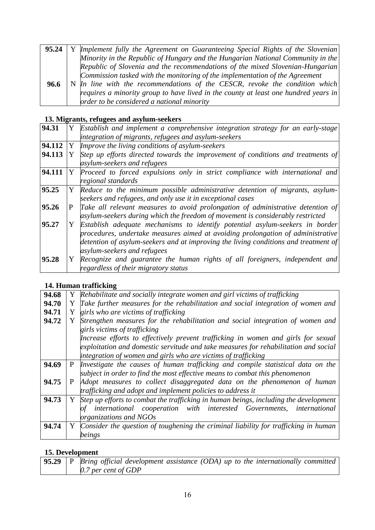| 95.24 | Y Implement fully the Agreement on Guaranteeing Special Rights of the Slovenian     |
|-------|-------------------------------------------------------------------------------------|
|       | Minority in the Republic of Hungary and the Hungarian National Community in the     |
|       | Republic of Slovenia and the recommendations of the mixed Slovenian-Hungarian       |
|       | Commission tasked with the monitoring of the implementation of the Agreement        |
| 96.6  | N In line with the recommendations of the CESCR, revoke the condition which         |
|       | requires a minority group to have lived in the county at least one hundred years in |
|       | order to be considered a national minority                                          |

## **13. Migrants, refugees and asylum-seekers**

| 94.31  |    | Y Establish and implement a comprehensive integration strategy for an early-stage   |
|--------|----|-------------------------------------------------------------------------------------|
|        |    | integration of migrants, refugees and asylum-seekers                                |
| 94.112 | Y  | Improve the living conditions of asylum-seekers                                     |
| 94.113 | Y  | Step up efforts directed towards the improvement of conditions and treatments of    |
|        |    | asylum-seekers and refugees                                                         |
| 94.111 | Y  | Proceed to forced expulsions only in strict compliance with international and       |
|        |    | regional standards                                                                  |
| 95.25  | Y  | Reduce to the minimum possible administrative detention of migrants, asylum-        |
|        |    | seekers and refugees, and only use it in exceptional cases                          |
| 95.26  | P. | Take all relevant measures to avoid prolongation of administrative detention of     |
|        |    | asylum-seekers during which the freedom of movement is considerably restricted      |
| 95.27  |    | Establish adequate mechanisms to identify potential asylum-seekers in border        |
|        |    | procedures, undertake measures aimed at avoiding prolongation of administrative     |
|        |    | detention of asylum-seekers and at improving the living conditions and treatment of |
|        |    | asylum-seekers and refugees                                                         |
| 95.28  |    | Y Recognize and guarantee the human rights of all foreigners, independent and       |
|        |    | regardless of their migratory status                                                |

### **14. Human trafficking**

| 94.68 |   | Y Rehabilitate and socially integrate women and girl victims of trafficking            |
|-------|---|----------------------------------------------------------------------------------------|
| 94.70 |   | Y Take further measures for the rehabilitation and social integration of women and     |
| 94.71 | Y | girls who are victims of trafficking                                                   |
| 94.72 | Y | Strengthen measures for the rehabilitation and social integration of women and         |
|       |   | girls victims of trafficking                                                           |
|       |   | Increase efforts to effectively prevent trafficking in women and girls for sexual      |
|       |   | exploitation and domestic servitude and take measures for rehabilitation and social    |
|       |   | integration of women and girls who are victims of trafficking                          |
| 94.69 | P | Investigate the causes of human trafficking and compile statistical data on the        |
|       |   | subject in order to find the most effective means to combat this phenomenon            |
| 94.75 | P | Adopt measures to collect disaggregated data on the phenomenon of human                |
|       |   | trafficking and adopt and implement policies to address it                             |
| 94.73 |   | Y Step up efforts to combat the trafficking in human beings, including the development |
|       |   | international cooperation with interested Governments, international                   |
|       |   | organizations and NGOs                                                                 |
| 94.74 | Y | Consider the question of toughening the criminal liability for trafficking in human    |
|       |   | beings                                                                                 |
|       |   |                                                                                        |

# **15. Development**

|  | $\mid$ 95.29 $\mid$ P $\mid$ Bring official development assistance (ODA) up to the internationally committed $\mid$ |
|--|---------------------------------------------------------------------------------------------------------------------|
|  | 0.7 per cent of $GDP$                                                                                               |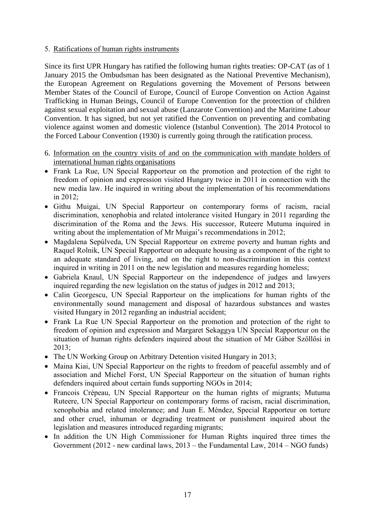### 5. Ratifications of human rights instruments

Since its first UPR Hungary has ratified the following human rights treaties: OP-CAT (as of 1 January 2015 the Ombudsman has been designated as the National Preventive Mechanism), the European Agreement on Regulations governing the Movement of Persons between Member States of the Council of Europe, Council of Europe Convention on Action Against Trafficking in Human Beings, Council of Europe Convention for the protection of children against sexual exploitation and sexual abuse (Lanzarote Convention) and the Maritime Labour Convention. It has signed, but not yet ratified the Convention on preventing and combating violence against women and domestic violence (Istanbul Convention). The 2014 Protocol to the Forced Labour Convention (1930) is currently going through the ratification process.

- 6. Information on the country visits of and on the communication with mandate holders of international human rights organisations
- Frank La Rue, UN Special Rapporteur on the promotion and protection of the right to freedom of opinion and expression visited Hungary twice in 2011 in connection with the new media law. He inquired in writing about the implementation of his recommendations in 2012;
- Githu Muigai, UN Special Rapporteur on contemporary forms of racism, racial discrimination, xenophobia and related intolerance visited Hungary in 2011 regarding the discrimination of the Roma and the Jews. His successor, Ruteere Mutuma inquired in writing about the implementation of Mr Muigai's recommendations in 2012;
- Magdalena Sepúlveda, UN Special Rapporteur on extreme poverty and human rights and Raquel Rolnik, UN Special Rapporteur on adequate housing as a component of the right to an adequate standard of living, and on the right to non-discrimination in this context inquired in writing in 2011 on the new legislation and measures regarding homeless;
- Gabriela Knaul, UN Special Rapporteur on the independence of judges and lawyers inquired regarding the new legislation on the status of judges in 2012 and 2013;
- Calin Georgescu, UN Special Rapporteur on the implications for human rights of the environmentally sound management and disposal of hazardous substances and wastes visited Hungary in 2012 regarding an industrial accident;
- Frank La Rue UN Special Rapporteur on the promotion and protection of the right to freedom of opinion and expression and Margaret Sekaggya UN Special Rapporteur on the situation of human rights defenders inquired about the situation of Mr Gábor Szőllősi in 2013;
- The UN Working Group on Arbitrary Detention visited Hungary in 2013;
- Maina Kiai, UN Special Rapporteur on the rights to freedom of peaceful assembly and of association and Michel Forst, UN Special Rapporteur on the situation of human rights defenders inquired about certain funds supporting NGOs in 2014;
- Francois Crépeau, UN Special Rapporteur on the human rights of migrants; Mutuma Ruteere, UN Special Rapporteur on contemporary forms of racism, racial discrimination, xenophobia and related intolerance; and Juan E. Méndez, Special Rapporteur on torture and other cruel, inhuman or degrading treatment or punishment inquired about the legislation and measures introduced regarding migrants;
- In addition the UN High Commissioner for Human Rights inquired three times the Government (2012 - new cardinal laws, 2013 – the Fundamental Law, 2014 – NGO funds)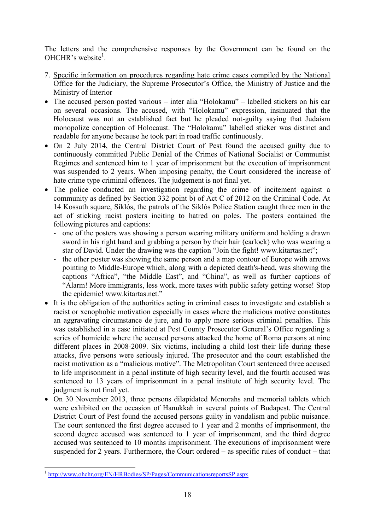The letters and the comprehensive responses by the Government can be found on the OHCHR's website<sup>1</sup>.

- 7. Specific information on procedures regarding hate crime cases compiled by the National Office for the Judiciary, the Supreme Prosecutor's Office, the Ministry of Justice and the Ministry of Interior
- The accused person posted various inter alia "Holokamu" labelled stickers on his car on several occasions. The accused, with "Holokamu" expression, insinuated that the Holocaust was not an established fact but he pleaded not-guilty saying that Judaism monopolize conception of Holocaust. The "Holokamu" labelled sticker was distinct and readable for anyone because he took part in road traffic continuously.
- On 2 July 2014, the Central District Court of Pest found the accused guilty due to continuously committed Public Denial of the Crimes of National Socialist or Communist Regimes and sentenced him to 1 year of imprisonment but the execution of imprisonment was suspended to 2 years. When imposing penalty, the Court considered the increase of hate crime type criminal offences. The judgement is not final yet.
- The police conducted an investigation regarding the crime of incitement against a community as defined by Section 332 point b) of Act C of 2012 on the Criminal Code. At 14 Kossuth square, Siklós, the patrols of the Siklós Police Station caught three men in the act of sticking racist posters inciting to hatred on poles. The posters contained the following pictures and captions:
	- one of the posters was showing a person wearing military uniform and holding a drawn sword in his right hand and grabbing a person by their hair (earlock) who was wearing a star of David. Under the drawing was the caption "Join the fight! www.kitartas.net";
	- the other poster was showing the same person and a map contour of Europe with arrows pointing to Middle-Europe which, along with a depicted death's-head, was showing the captions "Africa", "the Middle East", and "China", as well as further captions of "Alarm! More immigrants, less work, more taxes with public safety getting worse! Stop the epidemic! www.kitartas.net."
- It is the obligation of the authorities acting in criminal cases to investigate and establish a racist or xenophobic motivation especially in cases where the malicious motive constitutes an aggravating circumstance de jure, and to apply more serious criminal penalties. This was established in a case initiated at Pest County Prosecutor General's Office regarding a series of homicide where the accused persons attacked the home of Roma persons at nine different places in 2008-2009. Six victims, including a child lost their life during these attacks, five persons were seriously injured. The prosecutor and the court established the racist motivation as a "malicious motive". The Metropolitan Court sentenced three accused to life imprisonment in a penal institute of high security level, and the fourth accused was sentenced to 13 years of imprisonment in a penal institute of high security level. The judgment is not final yet.
- On 30 November 2013, three persons dilapidated Menorahs and memorial tablets which were exhibited on the occasion of Hanukkah in several points of Budapest. The Central District Court of Pest found the accused persons guilty in vandalism and public nuisance. The court sentenced the first degree accused to 1 year and 2 months of imprisonment, the second degree accused was sentenced to 1 year of imprisonment, and the third degree accused was sentenced to 10 months imprisonment. The executions of imprisonment were suspended for 2 years. Furthermore, the Court ordered – as specific rules of conduct – that

1

<sup>&</sup>lt;sup>1</sup> <http://www.ohchr.org/EN/HRBodies/SP/Pages/CommunicationsreportsSP.aspx>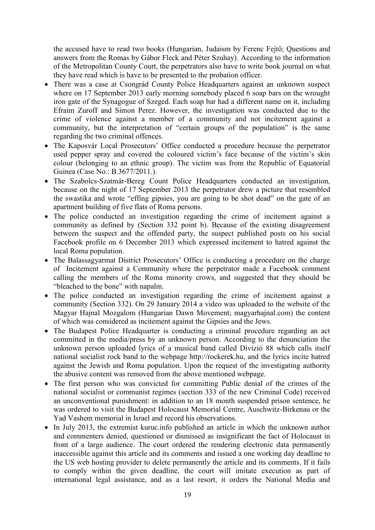the accused have to read two books (Hungarian, Judaism by Ferenc Fejtő; Questions and answers from the Romas by Gábor Fleck and Péter Szuhay). According to the information of the Metropolitan County Court, the perpetrators also have to write book journal on what they have read which is have to be presented to the probation officer.

- There was a case at Csongrád County Police Headquarters against an unknown suspect where on 17 September 2013 early morning somebody placed 6 soap bars on the wrought iron gate of the Synagogue of Szeged. Each soap bar had a different name on it, including Efraim Zuroff and Simon Perez. However, the investigation was conducted due to the crime of violence against a member of a community and not incitement against a community, but the interpretation of "certain groups of the population" is the same regarding the two criminal offences.
- The Kaposvár Local Prosecutors' Office conducted a procedure because the perpetrator used pepper spray and covered the coloured victim's face because of the victim's skin colour (belonging to an ethnic group). The victim was from the Republic of Equatorial Guinea (Case No.: B.3677/2011.).
- The Szabolcs-Szatmár-Bereg Count Police Headquarters conducted an investigation, because on the night of 17 September 2013 the perpetrator drew a picture that resembled the swastika and wrote "effing gipsies, you are going to be shot dead" on the gate of an apartment building of five flats of Roma persons.
- The police conducted an investigation regarding the crime of incitement against a community as defined by (Section 332 point b). Because of the existing disagreement between the suspect and the offended party, the suspect published posts on his social Facebook profile on 6 December 2013 which expressed incitement to hatred against the local Roma population.
- The Balassagyarmat District Prosecutors' Office is conducting a procedure on the charge of Incitement against a Community where the perpetrator made a Facebook comment calling the members of the Roma minority crows, and suggested that they should be "bleached to the bone" with napalm.
- The police conducted an investigation regarding the crime of incitement against a community (Section 332). On 29 January 2014 a video was uploaded to the website of the Magyar Hajnal Mozgalom (Hungarian Dawn Movement; magyarhajnal.com) the content of which was considered as incitement against the Gipsies and the Jews.
- The Budapest Police Headquarter is conducting a criminal procedure regarding an act committed in the media/press by an unknown person. According to the denunciation the unknown person uploaded lyrics of a musical band called Divízió 88 which calls itself national socialist rock band to the webpage http://rockerek.hu, and the lyrics incite hatred against the Jewish and Roma population. Upon the request of the investigating authority the abusive content was removed from the above mentioned webpage.
- The first person who was convicted for committing Public denial of the crimes of the national socialist or communist regimes (section 333 of the new Criminal Code) received an unconventional punishment: in addition to an 18 month suspended prison sentence, he was ordered to visit the Budapest Holocaust Memorial Centre, Auschwitz-Birkenau or the Yad Vashem memorial in Israel and record his observations.
- In July 2013, the extremist kuruc.info published an article in which the unknown author and commenters denied, questioned or dismissed as insignificant the fact of Holocaust in front of a large audience. The court ordered the rendering electronic data permanently inaccessible against this article and its comments and issued a one working day deadline to the US web hosting provider to delete permanently the article and its comments. If it fails to comply within the given deadline, the court will imitate execution as part of international legal assistance, and as a last resort, it orders the National Media and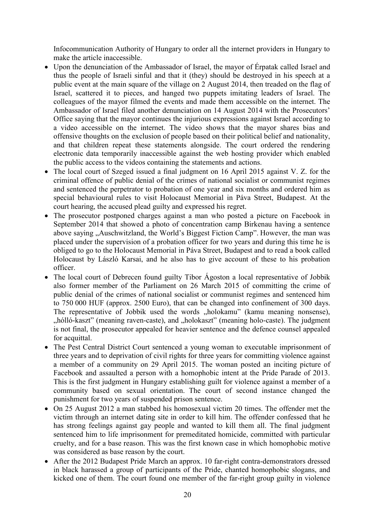Infocommunication Authority of Hungary to order all the internet providers in Hungary to make the article inaccessible.

- Upon the denunciation of the Ambassador of Israel, the mayor of Érpatak called Israel and thus the people of Israeli sinful and that it (they) should be destroyed in his speech at a public event at the main square of the village on 2 August 2014, then treaded on the flag of Israel, scattered it to pieces, and hanged two puppets imitating leaders of Israel. The colleagues of the mayor filmed the events and made them accessible on the internet. The Ambassador of Israel filed another denunciation on 14 August 2014 with the Prosecutors' Office saying that the mayor continues the injurious expressions against Israel according to a video accessible on the internet. The video shows that the mayor shares bias and offensive thoughts on the exclusion of people based on their political belief and nationality, and that children repeat these statements alongside. The court ordered the rendering electronic data temporarily inaccessible against the web hosting provider which enabled the public access to the videos containing the statements and actions.
- The local court of Szeged issued a final judgment on 16 April 2015 against V. Z. for the criminal offence of public denial of the crimes of national socialist or communist regimes and sentenced the perpetrator to probation of one year and six months and ordered him as special behavioural rules to visit Holocaust Memorial in Páva Street, Budapest. At the court hearing, the accused plead guilty and expressed his regret.
- The prosecutor postponed charges against a man who posted a picture on Facebook in September 2014 that showed a photo of concentration camp Birkenau having a sentence above saying "Auschwitzland, the World's Biggest Fiction Camp". However, the man was placed under the supervision of a probation officer for two years and during this time he is obliged to go to the Holocaust Memorial in Páva Street, Budapest and to read a book called Holocaust by László Karsai, and he also has to give account of these to his probation officer.
- The local court of Debrecen found guilty Tibor Ágoston a local representative of Jobbik also former member of the Parliament on 26 March 2015 of committing the crime of public denial of the crimes of national socialist or communist regimes and sentenced him to 750 000 HUF (approx. 2500 Euro), that can be changed into confinement of 300 days. The representative of Jobbik used the words "holokamu" (kamu meaning nonsense), hólló-kaszt" (meaning raven-caste), and "holokaszt" (meaning holo-caste). The judgment is not final, the prosecutor appealed for heavier sentence and the defence counsel appealed for acquittal.
- The Pest Central District Court sentenced a young woman to executable imprisonment of three years and to deprivation of civil rights for three years for committing violence against a member of a community on 29 April 2015. The woman posted an inciting picture of Facebook and assaulted a person with a homophobic intent at the Pride Parade of 2013. This is the first judgment in Hungary establishing guilt for violence against a member of a community based on sexual orientation. The court of second instance changed the punishment for two years of suspended prison sentence.
- On 25 August 2012 a man stabbed his homosexual victim 20 times. The offender met the victim through an internet dating site in order to kill him. The offender confessed that he has strong feelings against gay people and wanted to kill them all. The final judgment sentenced him to life imprisonment for premeditated homicide, committed with particular cruelty, and for a base reason. This was the first known case in which homophobic motive was considered as base reason by the court.
- After the 2012 Budapest Pride March an approx. 10 far-right contra-demonstrators dressed in black harassed a group of participants of the Pride, chanted homophobic slogans, and kicked one of them. The court found one member of the far-right group guilty in violence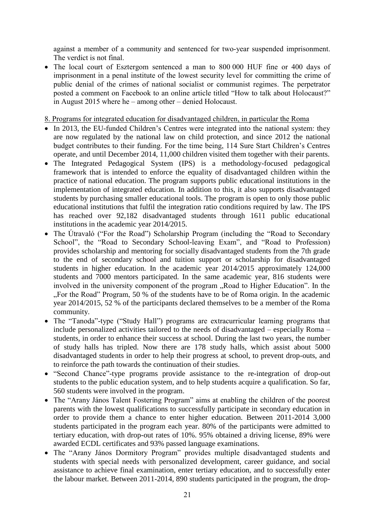against a member of a community and sentenced for two-year suspended imprisonment. The verdict is not final.

• The local court of Esztergom sentenced a man to 800 000 HUF fine or 400 days of imprisonment in a penal institute of the lowest security level for committing the crime of public denial of the crimes of national socialist or communist regimes. The perpetrator posted a comment on Facebook to an online article titled "How to talk about Holocaust?" in August 2015 where he – among other – denied Holocaust.

8. Programs for integrated education for disadvantaged children, in particular the Roma

- In 2013, the EU-funded Children's Centres were integrated into the national system: they are now regulated by the national law on child protection, and since 2012 the national budget contributes to their funding. For the time being, 114 Sure Start Children's Centres operate, and until December 2014, 11,000 children visited them together with their parents.
- The Integrated Pedagogical System (IPS) is a methodology-focused pedagogical framework that is intended to enforce the equality of disadvantaged children within the practice of national education. The program supports public educational institutions in the implementation of integrated education. In addition to this, it also supports disadvantaged students by purchasing smaller educational tools. The program is open to only those public educational institutions that fulfil the integration ratio conditions required by law. The IPS has reached over 92,182 disadvantaged students through 1611 public educational institutions in the academic year 2014/2015.
- The Útravaló ("For the Road") Scholarship Program (including the "Road to Secondary School", the "Road to Secondary School-leaving Exam", and "Road to Profession) provides scholarship and mentoring for socially disadvantaged students from the 7th grade to the end of secondary school and tuition support or scholarship for disadvantaged students in higher education. In the academic year 2014/2015 approximately 124,000 students and 7000 mentors participated. In the same academic year, 816 students were involved in the university component of the program "Road to Higher Education". In the ". For the Road" Program, 50  $\%$  of the students have to be of Roma origin. In the academic year 2014/2015, 52 % of the participants declared themselves to be a member of the Roma community.
- The "Tanoda"-type ("Study Hall") programs are extracurricular learning programs that include personalized activities tailored to the needs of disadvantaged – especially Roma – students, in order to enhance their success at school. During the last two years, the number of study halls has tripled. Now there are 178 study halls, which assist about 5000 disadvantaged students in order to help their progress at school, to prevent drop-outs, and to reinforce the path towards the continuation of their studies.
- "Second Chance"-type programs provide assistance to the re-integration of drop-out students to the public education system, and to help students acquire a qualification. So far, 560 students were involved in the program.
- The "Arany János Talent Fostering Program" aims at enabling the children of the poorest parents with the lowest qualifications to successfully participate in secondary education in order to provide them a chance to enter higher education. Between 2011-2014 3,000 students participated in the program each year. 80% of the participants were admitted to tertiary education, with drop-out rates of 10%. 95% obtained a driving license, 89% were awarded ECDL certificates and 93% passed language examinations.
- The "Arany János Dormitory Program" provides multiple disadvantaged students and students with special needs with personalized development, career guidance, and social assistance to achieve final examination, enter tertiary education, and to successfully enter the labour market. Between 2011-2014, 890 students participated in the program, the drop-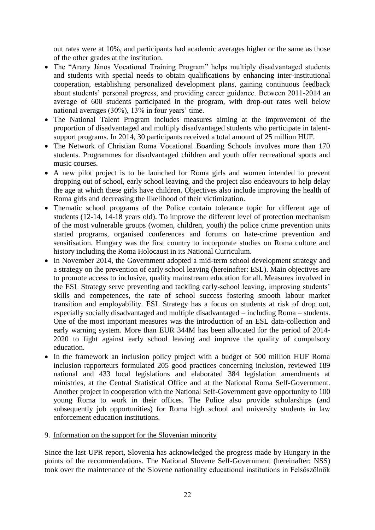out rates were at 10%, and participants had academic averages higher or the same as those of the other grades at the institution.

- The "Arany János Vocational Training Program" helps multiply disadvantaged students and students with special needs to obtain qualifications by enhancing inter-institutional cooperation, establishing personalized development plans, gaining continuous feedback about students' personal progress, and providing career guidance. Between 2011-2014 an average of 600 students participated in the program, with drop-out rates well below national averages (30%), 13% in four years' time.
- The National Talent Program includes measures aiming at the improvement of the proportion of disadvantaged and multiply disadvantaged students who participate in talentsupport programs. In 2014, 30 participants received a total amount of 25 million HUF.
- The Network of Christian Roma Vocational Boarding Schools involves more than 170 students. Programmes for disadvantaged children and youth offer recreational sports and music courses.
- A new pilot project is to be launched for Roma girls and women intended to prevent dropping out of school, early school leaving, and the project also endeavours to help delay the age at which these girls have children. Objectives also include improving the health of Roma girls and decreasing the likelihood of their victimization.
- Thematic school programs of the Police contain tolerance topic for different age of students (12-14, 14-18 years old). To improve the different level of protection mechanism of the most vulnerable groups (women, children, youth) the police crime prevention units started programs, organised conferences and forums on hate-crime prevention and sensitisation. Hungary was the first country to incorporate studies on Roma culture and history including the Roma Holocaust in its National Curriculum.
- In November 2014, the Government adopted a mid-term school development strategy and a strategy on the prevention of early school leaving (hereinafter: ESL). Main objectives are to promote access to inclusive, quality mainstream education for all. Measures involved in the ESL Strategy serve preventing and tackling early-school leaving, improving students' skills and competences, the rate of school success fostering smooth labour market transition and employability. ESL Strategy has a focus on students at risk of drop out, especially socially disadvantaged and multiple disadvantaged – including Roma – students. One of the most important measures was the introduction of an ESL data-collection and early warning system. More than EUR 344M has been allocated for the period of 2014- 2020 to fight against early school leaving and improve the quality of compulsory education.
- In the framework an inclusion policy project with a budget of 500 million HUF Roma inclusion rapporteurs formulated 205 good practices concerning inclusion, reviewed 189 national and 433 local legislations and elaborated 384 legislation amendments at ministries, at the Central Statistical Office and at the National Roma Self-Government. Another project in cooperation with the National Self-Government gave opportunity to 100 young Roma to work in their offices. The Police also provide scholarships (and subsequently job opportunities) for Roma high school and university students in law enforcement education institutions.

### 9. Information on the support for the Slovenian minority

Since the last UPR report, Slovenia has acknowledged the progress made by Hungary in the points of the recommendations. The National Slovene Self-Government (hereinafter: NSS) took over the maintenance of the Slovene nationality educational institutions in Felsőszölnök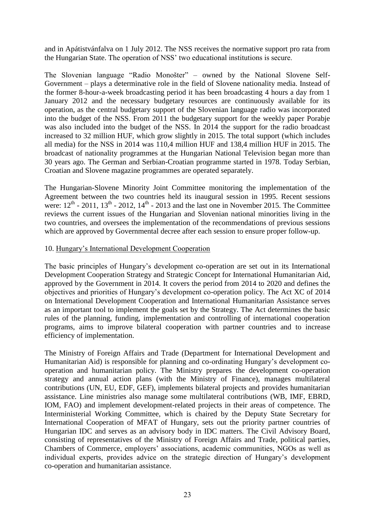and in Apátistvánfalva on 1 July 2012. The NSS receives the normative support pro rata from the Hungarian State. The operation of NSS' two educational institutions is secure.

The Slovenian language "Radio Monošter" – owned by the National Slovene Self-Government – plays a determinative role in the field of Slovene nationality media. Instead of the former 8-hour-a-week broadcasting period it has been broadcasting 4 hours a day from 1 January 2012 and the necessary budgetary resources are continuously available for its operation, as the central budgetary support of the Slovenian language radio was incorporated into the budget of the NSS. From 2011 the budgetary support for the weekly paper Porabje was also included into the budget of the NSS. In 2014 the support for the radio broadcast increased to 32 million HUF, which grow slightly in 2015. The total support (which includes all media) for the NSS in 2014 was 110,4 million HUF and 138,4 million HUF in 2015. The broadcast of nationality programmes at the Hungarian National Television began more than 30 years ago. The German and Serbian-Croatian programme started in 1978. Today Serbian, Croatian and Slovene magazine programmes are operated separately.

The Hungarian-Slovene Minority Joint Committee monitoring the implementation of the Agreement between the two countries held its inaugural session in 1995. Recent sessions were:  $12<sup>th</sup>$  - 2011,  $13<sup>th</sup>$  - 2012,  $14<sup>th</sup>$  - 2013 and the last one in November 2015. The Committee reviews the current issues of the Hungarian and Slovenian national minorities living in the two countries, and oversees the implementation of the recommendations of previous sessions which are approved by Governmental decree after each session to ensure proper follow-up.

### 10. Hungary's International Development Cooperation

The basic principles of Hungary's development co-operation are set out in its International Development Cooperation Strategy and Strategic Concept for International Humanitarian Aid, approved by the Government in 2014. It covers the period from 2014 to 2020 and defines the objectives and priorities of Hungary's development co-operation policy. The Act XC of 2014 on International Development Cooperation and International Humanitarian Assistance serves as an important tool to implement the goals set by the Strategy. The Act determines the basic rules of the planning, funding, implementation and controlling of international cooperation programs, aims to improve bilateral cooperation with partner countries and to increase efficiency of implementation.

The Ministry of Foreign Affairs and Trade (Department for International Development and Humanitarian Aid) is responsible for planning and co-ordinating Hungary's development cooperation and humanitarian policy. The Ministry prepares the development co-operation strategy and annual action plans (with the Ministry of Finance), manages multilateral contributions (UN, EU, EDF, GEF), implements bilateral projects and provides humanitarian assistance. Line ministries also manage some multilateral contributions (WB, IMF, EBRD, IOM, FAO) and implement development-related projects in their areas of competence. The Interministerial Working Committee, which is chaired by the Deputy State Secretary for International Cooperation of MFAT of Hungary, sets out the priority partner countries of Hungarian IDC and serves as an advisory body in IDC matters. The Civil Advisory Board, consisting of representatives of the Ministry of Foreign Affairs and Trade, political parties, Chambers of Commerce, employers' associations, academic communities, NGOs as well as individual experts, provides advice on the strategic direction of Hungary's development co-operation and humanitarian assistance.